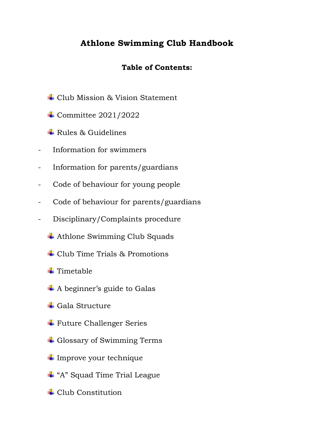# **Athlone Swimming Club Handbook**

# **Table of Contents:**

- Club Mission & Vision Statement
- + Committee 2021/2022
- $\downarrow$  Rules & Guidelines
- Information for swimmers
- Information for parents/guardians
- Code of behaviour for young people
- Code of behaviour for parents/guardians
- Disciplinary/Complaints procedure
	- **↓** Athlone Swimming Club Squads
	- Club Time Trials & Promotions
	- $\blacksquare$  Timetable
	- $\overline{\mathbf{A}}$  A beginner's guide to Galas
	- $\overline{\phantom{a}}$  Gala Structure
	- $\text{Future}$  **Challenger Series**
	- **↓** Glossary of Swimming Terms
	- $\ddag$  Improve your technique
	- "A" Squad Time Trial League
	- $\pm$  Club Constitution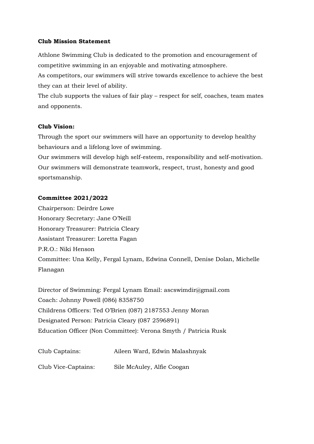#### **Club Mission Statement**

Athlone Swimming Club is dedicated to the promotion and encouragement of competitive swimming in an enjoyable and motivating atmosphere.

As competitors, our swimmers will strive towards excellence to achieve the best they can at their level of ability.

The club supports the values of fair play – respect for self, coaches, team mates and opponents.

#### **Club Vision:**

Through the sport our swimmers will have an opportunity to develop healthy behaviours and a lifelong love of swimming.

Our swimmers will develop high self-esteem, responsibility and self-motivation. Our swimmers will demonstrate teamwork, respect, trust, honesty and good sportsmanship.

#### **Committee 2021/2022**

Chairperson: Deirdre Lowe Honorary Secretary: Jane O'Neill Honorary Treasurer: Patricia Cleary Assistant Treasurer: Loretta Fagan P.R.O.: Niki Henson Committee: Una Kelly, Fergal Lynam, Edwina Connell, Denise Dolan, Michelle Flanagan

Director of Swimming: Fergal Lynam Email: ascswimdir@gmail.com Coach: Johnny Powell (086) 8358750 Childrens Officers: Ted O'Brien (087) 2187553 Jenny Moran Designated Person: Patricia Cleary (087 2596891) Education Officer (Non Committee): Verona Smyth / Patricia Rusk

| Club Captains:      | Aileen Ward, Edwin Malashnyak |
|---------------------|-------------------------------|
| Club Vice-Captains: | Sile McAuley, Alfie Coogan    |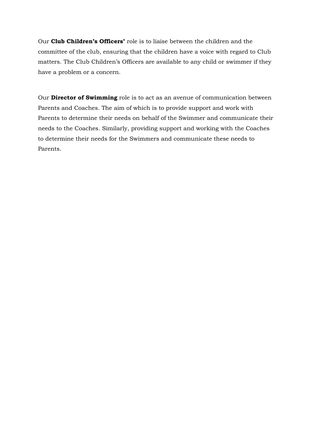Our **Club Children's Officers'** role is to liaise between the children and the committee of the club, ensuring that the children have a voice with regard to Club matters. The Club Children's Officers are available to any child or swimmer if they have a problem or a concern.

Our **Director of Swimming** role is to act as an avenue of communication between Parents and Coaches. The aim of which is to provide support and work with Parents to determine their needs on behalf of the Swimmer and communicate their needs to the Coaches. Similarly, providing support and working with the Coaches to determine their needs for the Swimmers and communicate these needs to Parents.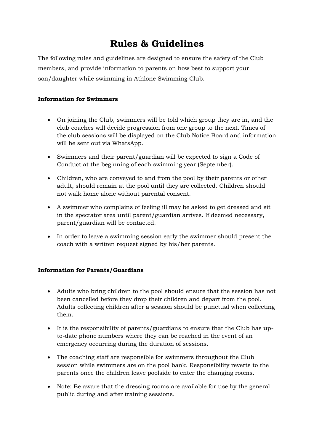# **Rules & Guidelines**

The following rules and guidelines are designed to ensure the safety of the Club members, and provide information to parents on how best to support your son/daughter while swimming in Athlone Swimming Club.

#### **Information for Swimmers**

- On joining the Club, swimmers will be told which group they are in, and the club coaches will decide progression from one group to the next. Times of the club sessions will be displayed on the Club Notice Board and information will be sent out via WhatsApp.
- Swimmers and their parent/guardian will be expected to sign a Code of Conduct at the beginning of each swimming year (September).
- Children, who are conveyed to and from the pool by their parents or other adult, should remain at the pool until they are collected. Children should not walk home alone without parental consent.
- A swimmer who complains of feeling ill may be asked to get dressed and sit in the spectator area until parent/guardian arrives. If deemed necessary, parent/guardian will be contacted.
- In order to leave a swimming session early the swimmer should present the coach with a written request signed by his/her parents.

#### **Information for Parents/Guardians**

- Adults who bring children to the pool should ensure that the session has not been cancelled before they drop their children and depart from the pool. Adults collecting children after a session should be punctual when collecting them.
- It is the responsibility of parents/guardians to ensure that the Club has upto-date phone numbers where they can be reached in the event of an emergency occurring during the duration of sessions.
- The coaching staff are responsible for swimmers throughout the Club session while swimmers are on the pool bank. Responsibility reverts to the parents once the children leave poolside to enter the changing rooms.
- Note: Be aware that the dressing rooms are available for use by the general public during and after training sessions.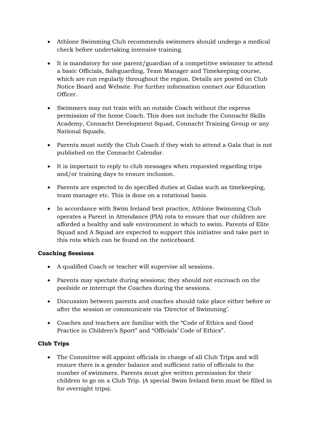- Athlone Swimming Club recommends swimmers should undergo a medical check before undertaking intensive training.
- It is mandatory for one parent/guardian of a competitive swimmer to attend a basic Officials, Safeguarding, Team Manager and Timekeeping course, which are run regularly throughout the region. Details are posted on Club Notice Board and Website. For further information contact our Education Officer.
- Swimmers may not train with an outside Coach without the express permission of the home Coach. This does not include the Connacht Skills Academy, Connacht Development Squad, Connacht Training Group or any National Squads.
- Parents must notify the Club Coach if they wish to attend a Gala that is not published on the Connacht Calendar.
- It is important to reply to club messages when requested regarding trips and/or training days to ensure inclusion.
- Parents are expected to do specified duties at Galas such as timekeeping, team manager etc. This is done on a rotational basis.
- In accordance with Swim Ireland best practice, Athlone Swimming Club operates a Parent in Attendance (PIA) rota to ensure that our children are afforded a healthy and safe environment in which to swim. Parents of Elite Squad and A Squad are expected to support this initiative and take part in this rota which can be found on the noticeboard.

#### **Coaching Sessions**

- A qualified Coach or teacher will supervise all sessions.
- Parents may spectate during sessions; they should not encroach on the poolside or interrupt the Coaches during the sessions.
- Discussion between parents and coaches should take place either before or after the session or communicate via 'Director of Swimming'.
- Coaches and teachers are familiar with the "Code of Ethics and Good Practice in Children's Sport" and "Officials' Code of Ethics".

#### **Club Trips**

• The Committee will appoint officials in charge of all Club Trips and will ensure there is a gender balance and sufficient ratio of officials to the number of swimmers. Parents must give written permission for their children to go on a Club Trip. (A special Swim Ireland form must be filled in for overnight trips).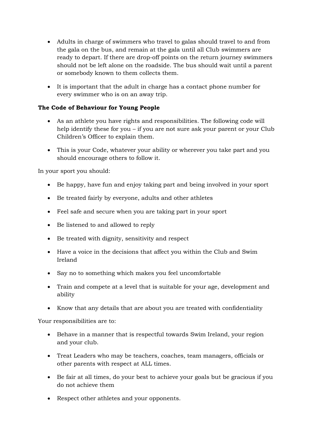- Adults in charge of swimmers who travel to galas should travel to and from the gala on the bus, and remain at the gala until all Club swimmers are ready to depart. If there are drop-off points on the return journey swimmers should not be left alone on the roadside. The bus should wait until a parent or somebody known to them collects them.
- It is important that the adult in charge has a contact phone number for every swimmer who is on an away trip.

### **The Code of Behaviour for Young People**

- As an athlete you have rights and responsibilities. The following code will help identify these for you – if you are not sure ask your parent or your Club Children's Officer to explain them.
- This is your Code, whatever your ability or wherever you take part and you should encourage others to follow it.

In your sport you should:

- Be happy, have fun and enjoy taking part and being involved in your sport
- Be treated fairly by everyone, adults and other athletes
- Feel safe and secure when you are taking part in your sport
- Be listened to and allowed to reply
- Be treated with dignity, sensitivity and respect
- Have a voice in the decisions that affect you within the Club and Swim Ireland
- Say no to something which makes you feel uncomfortable
- Train and compete at a level that is suitable for your age, development and ability
- Know that any details that are about you are treated with confidentiality

Your responsibilities are to:

- Behave in a manner that is respectful towards Swim Ireland, your region and your club.
- Treat Leaders who may be teachers, coaches, team managers, officials or other parents with respect at ALL times.
- Be fair at all times, do your best to achieve your goals but be gracious if you do not achieve them
- Respect other athletes and your opponents.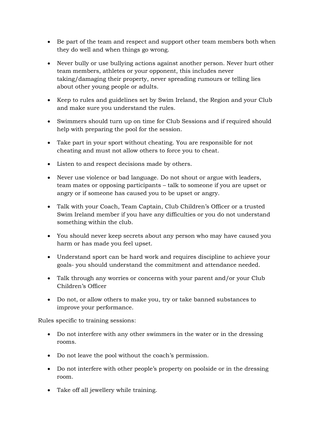- Be part of the team and respect and support other team members both when they do well and when things go wrong.
- Never bully or use bullying actions against another person. Never hurt other team members, athletes or your opponent, this includes never taking/damaging their property, never spreading rumours or telling lies about other young people or adults.
- Keep to rules and guidelines set by Swim Ireland, the Region and your Club and make sure you understand the rules.
- Swimmers should turn up on time for Club Sessions and if required should help with preparing the pool for the session.
- Take part in your sport without cheating. You are responsible for not cheating and must not allow others to force you to cheat.
- Listen to and respect decisions made by others.
- Never use violence or bad language. Do not shout or argue with leaders, team mates or opposing participants – talk to someone if you are upset or angry or if someone has caused you to be upset or angry.
- Talk with your Coach, Team Captain, Club Children's Officer or a trusted Swim Ireland member if you have any difficulties or you do not understand something within the club.
- You should never keep secrets about any person who may have caused you harm or has made you feel upset.
- Understand sport can be hard work and requires discipline to achieve your goals- you should understand the commitment and attendance needed.
- Talk through any worries or concerns with your parent and/or your Club Children's Officer
- Do not, or allow others to make you, try or take banned substances to improve your performance.

Rules specific to training sessions:

- Do not interfere with any other swimmers in the water or in the dressing rooms.
- Do not leave the pool without the coach's permission.
- Do not interfere with other people's property on poolside or in the dressing room.
- Take off all jewellery while training.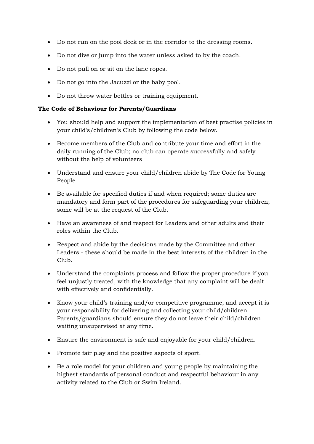- Do not run on the pool deck or in the corridor to the dressing rooms.
- Do not dive or jump into the water unless asked to by the coach.
- Do not pull on or sit on the lane ropes.
- Do not go into the Jacuzzi or the baby pool.
- Do not throw water bottles or training equipment.

#### **The Code of Behaviour for Parents/Guardians**

- You should help and support the implementation of best practise policies in your child's/children's Club by following the code below.
- Become members of the Club and contribute your time and effort in the daily running of the Club; no club can operate successfully and safely without the help of volunteers
- Understand and ensure your child/children abide by The Code for Young People
- Be available for specified duties if and when required; some duties are mandatory and form part of the procedures for safeguarding your children; some will be at the request of the Club.
- Have an awareness of and respect for Leaders and other adults and their roles within the Club.
- Respect and abide by the decisions made by the Committee and other Leaders - these should be made in the best interests of the children in the Club.
- Understand the complaints process and follow the proper procedure if you feel unjustly treated, with the knowledge that any complaint will be dealt with effectively and confidentially.
- Know your child's training and/or competitive programme, and accept it is your responsibility for delivering and collecting your child/children. Parents/guardians should ensure they do not leave their child/children waiting unsupervised at any time.
- Ensure the environment is safe and enjoyable for your child/children.
- Promote fair play and the positive aspects of sport.
- Be a role model for your children and young people by maintaining the highest standards of personal conduct and respectful behaviour in any activity related to the Club or Swim Ireland.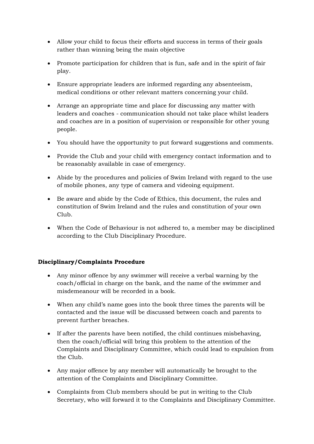- Allow your child to focus their efforts and success in terms of their goals rather than winning being the main objective
- Promote participation for children that is fun, safe and in the spirit of fair play.
- Ensure appropriate leaders are informed regarding any absenteeism, medical conditions or other relevant matters concerning your child.
- Arrange an appropriate time and place for discussing any matter with leaders and coaches - communication should not take place whilst leaders and coaches are in a position of supervision or responsible for other young people.
- You should have the opportunity to put forward suggestions and comments.
- Provide the Club and your child with emergency contact information and to be reasonably available in case of emergency.
- Abide by the procedures and policies of Swim Ireland with regard to the use of mobile phones, any type of camera and videoing equipment.
- Be aware and abide by the Code of Ethics, this document, the rules and constitution of Swim Ireland and the rules and constitution of your own Club.
- When the Code of Behaviour is not adhered to, a member may be disciplined according to the Club Disciplinary Procedure.

#### **Disciplinary/Complaints Procedure**

- Any minor offence by any swimmer will receive a verbal warning by the coach/official in charge on the bank, and the name of the swimmer and misdemeanour will be recorded in a book.
- When any child's name goes into the book three times the parents will be contacted and the issue will be discussed between coach and parents to prevent further breaches.
- If after the parents have been notified, the child continues misbehaving, then the coach/official will bring this problem to the attention of the Complaints and Disciplinary Committee, which could lead to expulsion from the Club.
- Any major offence by any member will automatically be brought to the attention of the Complaints and Disciplinary Committee.
- Complaints from Club members should be put in writing to the Club Secretary, who will forward it to the Complaints and Disciplinary Committee.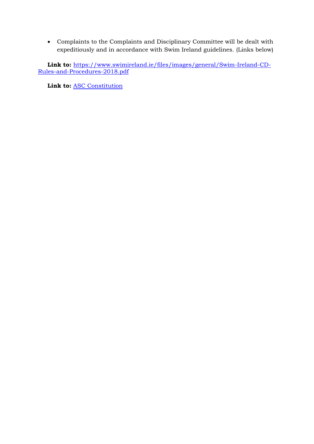• Complaints to the Complaints and Disciplinary Committee will be dealt with expeditiously and in accordance with Swim Ireland guidelines. (Links below)

**Link to:** [https://www.swimireland.ie/files/images/general/Swim-Ireland-CD-](https://protect2.fireeye.com/v1/url?k=e573e991-bae8d0bc-e573a90a-8692dc8284cb-5af0ada7d3fe9a16&q=1&e=526bdae7-97b1-4516-9c43-5ff05e547d78&u=https%3A%2F%2Fwww.swimireland.ie%2Ffiles%2Fimages%2Fgeneral%2FSwim-Ireland-CD-Rules-and-Procedures-2018.pdf)[Rules-and-Procedures-2018.pdf](https://protect2.fireeye.com/v1/url?k=e573e991-bae8d0bc-e573a90a-8692dc8284cb-5af0ada7d3fe9a16&q=1&e=526bdae7-97b1-4516-9c43-5ff05e547d78&u=https%3A%2F%2Fwww.swimireland.ie%2Ffiles%2Fimages%2Fgeneral%2FSwim-Ireland-CD-Rules-and-Procedures-2018.pdf)

**Link to:** [ASC Constitution](https://0dff072d-1be8-49c8-b743-585baf54cd56.filesusr.com/ugd/cadc2b_fff492d245a3497eb56fda12158d9e94.pdf)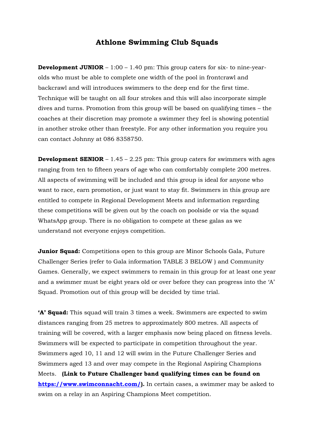## **Athlone Swimming Club Squads**

**Development JUNIOR** – 1:00 – 1.40 pm: This group caters for six- to nine-yearolds who must be able to complete one width of the pool in frontcrawl and backcrawl and will introduces swimmers to the deep end for the first time. Technique will be taught on all four strokes and this will also incorporate simple dives and turns. Promotion from this group will be based on qualifying times – the coaches at their discretion may promote a swimmer they feel is showing potential in another stroke other than freestyle. For any other information you require you can contact Johnny at 086 8358750.

**Development SENIOR** – 1.45 – 2.25 pm: This group caters for swimmers with ages ranging from ten to fifteen years of age who can comfortably complete 200 metres. All aspects of swimming will be included and this group is ideal for anyone who want to race, earn promotion, or just want to stay fit. Swimmers in this group are entitled to compete in Regional Development Meets and information regarding these competitions will be given out by the coach on poolside or via the squad WhatsApp group. There is no obligation to compete at these galas as we understand not everyone enjoys competition.

**Junior Squad:** Competitions open to this group are Minor Schools Gala, Future Challenger Series (refer to Gala information TABLE 3 BELOW ) and Community Games. Generally, we expect swimmers to remain in this group for at least one year and a swimmer must be eight years old or over before they can progress into the 'A' Squad. Promotion out of this group will be decided by time trial.

**'A' Squad:** This squad will train 3 times a week. Swimmers are expected to swim distances ranging from 25 metres to approximately 800 metres. All aspects of training will be covered, with a larger emphasis now being placed on fitness levels. Swimmers will be expected to participate in competition throughout the year. Swimmers aged 10, 11 and 12 will swim in the Future Challenger Series and Swimmers aged 13 and over may compete in the Regional Aspiring Champions Meets. **(Link to Future Challenger band qualifying times can be found on [https://www.swimconnacht.com/\)](https://www.swimconnacht.com/).** In certain cases, a swimmer may be asked to swim on a relay in an Aspiring Champions Meet competition.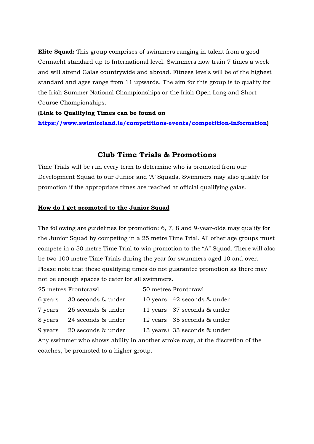**Elite Squad:** This group comprises of swimmers ranging in talent from a good Connacht standard up to International level. Swimmers now train 7 times a week and will attend Galas countrywide and abroad. Fitness levels will be of the highest standard and ages range from 11 upwards. The aim for this group is to qualify for the Irish Summer National Championships or the Irish Open Long and Short Course Championships.

#### **(Link to Qualifying Times can be found on**

**[https://www.swimireland.ie/competitions-events/competition-information\)](https://www.swimireland.ie/competitions-events/competition-information)**

#### **Club Time Trials & Promotions**

Time Trials will be run every term to determine who is promoted from our Development Squad to our Junior and 'A' Squads. Swimmers may also qualify for promotion if the appropriate times are reached at official qualifying galas.

#### **How do I get promoted to the Junior Squad**

The following are guidelines for promotion: 6, 7, 8 and 9-year-olds may qualify for the Junior Squad by competing in a 25 metre Time Trial. All other age groups must compete in a 50 metre Time Trial to win promotion to the "A" Squad. There will also be two 100 metre Time Trials during the year for swimmers aged 10 and over. Please note that these qualifying times do not guarantee promotion as there may not be enough spaces to cater for all swimmers.

|         | 25 metres Frontcrawl       | 50 metres Frontcrawl          |
|---------|----------------------------|-------------------------------|
|         | 6 years 30 seconds & under | 10 years 42 seconds & under   |
| 7 years | 26 seconds & under         | 11 years 37 seconds & under   |
| 8 years | 24 seconds & under         | 12 years 35 seconds & under   |
| 9 years | 20 seconds & under         | 13 years + 33 seconds & under |
|         |                            |                               |

Any swimmer who shows ability in another stroke may, at the discretion of the coaches, be promoted to a higher group.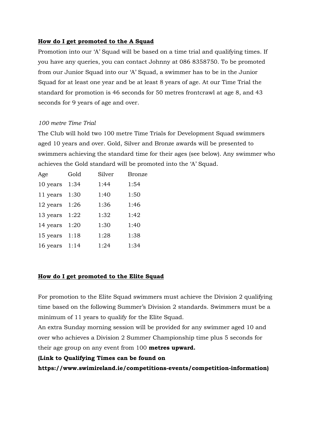#### **How do I get promoted to the A Squad**

Promotion into our 'A' Squad will be based on a time trial and qualifying times. If you have any queries, you can contact Johnny at 086 8358750. To be promoted from our Junior Squad into our 'A' Squad, a swimmer has to be in the Junior Squad for at least one year and be at least 8 years of age. At our Time Trial the standard for promotion is 46 seconds for 50 metres frontcrawl at age 8, and 43 seconds for 9 years of age and over.

#### *100 metre Time Trial*

The Club will hold two 100 metre Time Trials for Development Squad swimmers aged 10 years and over. Gold, Silver and Bronze awards will be presented to swimmers achieving the standard time for their ages (see below). Any swimmer who achieves the Gold standard will be promoted into the 'A' Squad.

| Age      | Gold | Silver | <b>Bronze</b> |
|----------|------|--------|---------------|
| 10 years | 1:34 | 1:44   | 1:54          |
| 11 years | 1:30 | 1:40   | 1:50          |
| 12 years | 1:26 | 1:36   | 1:46          |
| 13 years | 1:22 | 1:32   | 1:42          |
| 14 years | 1:20 | 1:30   | 1:40          |
| 15 years | 1:18 | 1:28   | 1:38          |
| 16 years | 1:14 | 1:24   | 1:34          |

### **How do I get promoted to the Elite Squad**

For promotion to the Elite Squad swimmers must achieve the Division 2 qualifying time based on the following Summer's Division 2 standards. Swimmers must be a minimum of 11 years to qualify for the Elite Squad.

An extra Sunday morning session will be provided for any swimmer aged 10 and over who achieves a Division 2 Summer Championship time plus 5 seconds for their age group on any event from 100 **metres upward.** 

#### **(Link to Qualifying Times can be found on**

**https://www.swimireland.ie/competitions-events/competition-information)**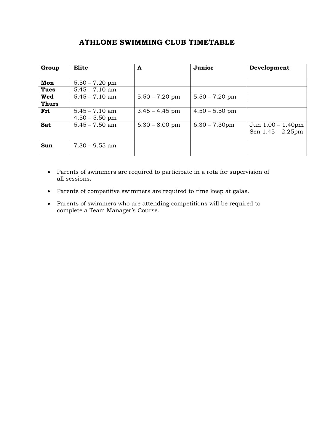## **ATHLONE SWIMMING CLUB TIMETABLE**

| Group        | <b>Elite</b>     | A                | Junior           | Development          |
|--------------|------------------|------------------|------------------|----------------------|
|              |                  |                  |                  |                      |
| Mon          | $5.50 - 7.20$ pm |                  |                  |                      |
| <b>Tues</b>  | $5.45 - 7.10$ am |                  |                  |                      |
| Wed          | $5.45 - 7.10$ am | $5.50 - 7.20$ pm | $5.50 - 7.20$ pm |                      |
| <b>Thurs</b> |                  |                  |                  |                      |
| Fri          | $5.45 - 7.10$ am | $3.45 - 4.45$ pm | $4.50 - 5.50$ pm |                      |
|              | $4.50 - 5.50$ pm |                  |                  |                      |
| <b>Sat</b>   | $5.45 - 7.50$ am | $6.30 - 8.00$ pm | $6.30 - 7.30$ pm | Jun $1.00 - 1.40$ pm |
|              |                  |                  |                  | Sen $1.45 - 2.25$ pm |
|              |                  |                  |                  |                      |
| Sun          | $7.30 - 9.55$ am |                  |                  |                      |
|              |                  |                  |                  |                      |

- Parents of swimmers are required to participate in a rota for supervision of all sessions.
- Parents of competitive swimmers are required to time keep at galas.
- Parents of swimmers who are attending competitions will be required to complete a Team Manager's Course.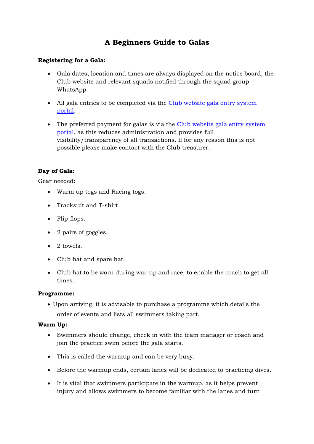# **A Beginners Guide to Galas**

#### **Registering for a Gala:**

- Gala dates, location and times are always displayed on the notice board, the Club website and relevant squads notified through the squad group WhatsApp.
- All gala entries to be completed via the Club website gala entry system [portal.](https://www.athloneswimmingclub.com/eventsandbooking)
- The preferred payment for galas is via the Club website gala entry system [portal,](https://www.athloneswimmingclub.com/eventsandbooking) as this reduces administration and provides full visibility/transparency of all transactions. If for any reason this is not possible please make contact with the Club treasurer.

#### **Day of Gala:**

Gear needed:

- Warm up togs and Racing togs.
- Tracksuit and T-shirt.
- Flip-flops.
- 2 pairs of goggles.
- 2 towels.
- Club hat and spare hat.
- Club hat to be worn during war-up and race, to enable the coach to get all times.

#### **Programme:**

• Upon arriving, it is advisable to purchase a programme which details the order of events and lists all swimmers taking part.

#### **Warm Up:**

- Swimmers should change, check in with the team manager or coach and join the practice swim before the gala starts.
- This is called the warmup and can be very busy.
- Before the warmup ends, certain lanes will be dedicated to practicing dives.
- It is vital that swimmers participate in the warmup, as it helps prevent injury and allows swimmers to become familiar with the lanes and turn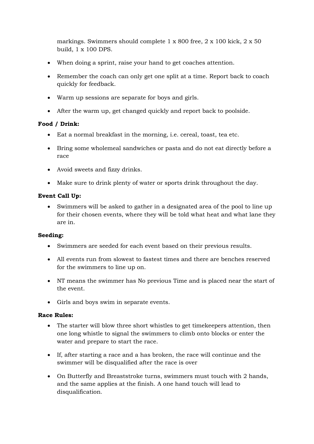markings. Swimmers should complete 1 x 800 free, 2 x 100 kick, 2 x 50 build, 1 x 100 DPS.

- When doing a sprint, raise your hand to get coaches attention.
- Remember the coach can only get one split at a time. Report back to coach quickly for feedback.
- Warm up sessions are separate for boys and girls.
- After the warm up, get changed quickly and report back to poolside.

#### **Food / Drink:**

- Eat a normal breakfast in the morning, i.e. cereal, toast, tea etc.
- Bring some wholemeal sandwiches or pasta and do not eat directly before a race
- Avoid sweets and fizzy drinks.
- Make sure to drink plenty of water or sports drink throughout the day.

#### **Event Call Up:**

• Swimmers will be asked to gather in a designated area of the pool to line up for their chosen events, where they will be told what heat and what lane they are in.

#### **Seeding:**

- Swimmers are seeded for each event based on their previous results.
- All events run from slowest to fastest times and there are benches reserved for the swimmers to line up on.
- NT means the swimmer has No previous Time and is placed near the start of the event.
- Girls and boys swim in separate events.

#### **Race Rules:**

- The starter will blow three short whistles to get timekeepers attention, then one long whistle to signal the swimmers to climb onto blocks or enter the water and prepare to start the race.
- If, after starting a race and a has broken, the race will continue and the swimmer will be disqualified after the race is over
- On Butterfly and Breaststroke turns, swimmers must touch with 2 hands, and the same applies at the finish. A one hand touch will lead to disqualification.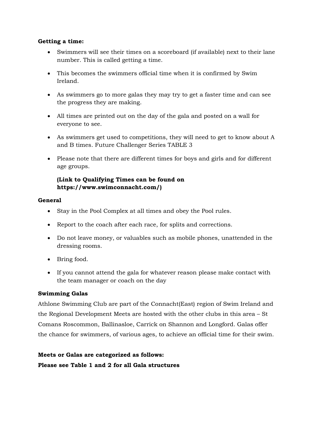#### **Getting a time:**

- Swimmers will see their times on a scoreboard (if available) next to their lane number. This is called getting a time.
- This becomes the swimmers official time when it is confirmed by Swim Ireland.
- As swimmers go to more galas they may try to get a faster time and can see the progress they are making.
- All times are printed out on the day of the gala and posted on a wall for everyone to see.
- As swimmers get used to competitions, they will need to get to know about A and B times. Future Challenger Series TABLE 3
- Please note that there are different times for boys and girls and for different age groups.

#### **(Link to Qualifying Times can be found on https://www.swimconnacht.com/)**

#### **General**

- Stay in the Pool Complex at all times and obey the Pool rules.
- Report to the coach after each race, for splits and corrections.
- Do not leave money, or valuables such as mobile phones, unattended in the dressing rooms.
- Bring food.
- If you cannot attend the gala for whatever reason please make contact with the team manager or coach on the day

#### **Swimming Galas**

Athlone Swimming Club are part of the Connacht(East) region of Swim Ireland and the Regional Development Meets are hosted with the other clubs in this area – St Comans Roscommon, Ballinasloe, Carrick on Shannon and Longford. Galas offer the chance for swimmers, of various ages, to achieve an official time for their swim.

**Meets or Galas are categorized as follows: Please see Table 1 and 2 for all Gala structures**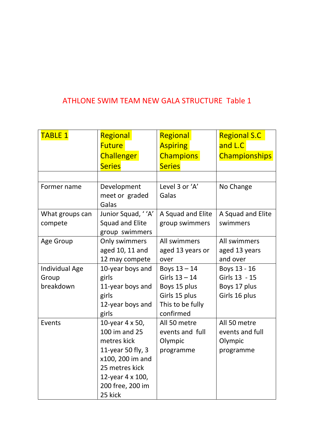# ATHLONE SWIM TEAM NEW GALA STRUCTURE Table 1

| <b>TABLE 1</b>        | Regional           | Regional          | <b>Regional S.C</b>  |
|-----------------------|--------------------|-------------------|----------------------|
|                       | <b>Future</b>      | <b>Aspiring</b>   | and L.C              |
|                       | <b>Challenger</b>  | <b>Champions</b>  | <b>Championships</b> |
|                       | <b>Series</b>      | <b>Series</b>     |                      |
|                       |                    |                   |                      |
| Former name           | Development        | Level 3 or 'A'    | No Change            |
|                       | meet or graded     | Galas             |                      |
|                       | Galas              |                   |                      |
| What groups can       | Junior Squad, ''A' | A Squad and Elite | A Squad and Elite    |
| compete               | Squad and Elite    | group swimmers    | swimmers             |
|                       | group swimmers     |                   |                      |
| Age Group             | Only swimmers      | All swimmers      | All swimmers         |
|                       | aged 10, 11 and    | aged 13 years or  | aged 13 years        |
|                       | 12 may compete     | over              | and over             |
| <b>Individual Age</b> | 10-year boys and   | Boys $13 - 14$    | Boys 13 - 16         |
| Group                 | girls              | Girls $13 - 14$   | Girls 13 - 15        |
| breakdown             | 11-year boys and   | Boys 15 plus      | Boys 17 plus         |
|                       | girls              | Girls 15 plus     | Girls 16 plus        |
|                       | 12-year boys and   | This to be fully  |                      |
|                       | girls              | confirmed         |                      |
| Events                | 10-year 4 x 50,    | All 50 metre      | All 50 metre         |
|                       | 100 im and 25      | events and full   | events and full      |
|                       | metres kick        | Olympic           | Olympic              |
|                       | 11-year 50 fly, 3  | programme         | programme            |
|                       | x100, 200 im and   |                   |                      |
|                       | 25 metres kick     |                   |                      |
|                       | 12-year 4 x 100,   |                   |                      |
|                       | 200 free, 200 im   |                   |                      |
|                       | 25 kick            |                   |                      |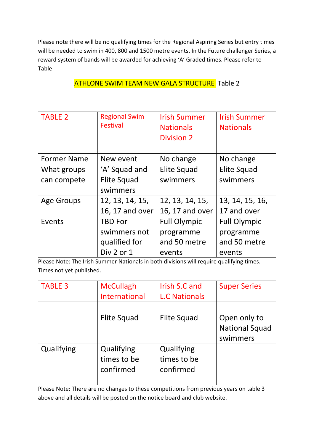Please note there will be no qualifying times for the Regional Aspiring Series but entry times will be needed to swim in 400, 800 and 1500 metre events. In the Future challenger Series, a reward system of bands will be awarded for achieving 'A' Graded times. Please refer to Table

| <b>TABLE 2</b>     | <b>Regional Swim</b><br><b>Festival</b> | <b>Irish Summer</b><br><b>Nationals</b><br><b>Division 2</b> | <b>Irish Summer</b><br><b>Nationals</b> |
|--------------------|-----------------------------------------|--------------------------------------------------------------|-----------------------------------------|
|                    |                                         |                                                              |                                         |
| <b>Former Name</b> | New event                               | No change                                                    | No change                               |
| What groups        | 'A' Squad and                           | <b>Elite Squad</b>                                           | <b>Elite Squad</b>                      |
| can compete        | <b>Elite Squad</b>                      | swimmers                                                     | swimmers                                |
|                    | swimmers                                |                                                              |                                         |
| <b>Age Groups</b>  | 12, 13, 14, 15,                         | 12, 13, 14, 15,                                              | 13, 14, 15, 16,                         |
|                    | 16, 17 and over                         | 16, 17 and over                                              | 17 and over                             |
| Events             | <b>TBD For</b>                          | <b>Full Olympic</b>                                          | <b>Full Olympic</b>                     |
|                    | swimmers not                            | programme                                                    | programme                               |
|                    | qualified for                           | and 50 metre                                                 | and 50 metre                            |
|                    | Div 2 or 1                              | events                                                       | events                                  |

## ATHLONE SWIM TEAM NEW GALA STRUCTURE Table 2

Please Note: The Irish Summer Nationals in both divisions will require qualifying times. Times not yet published.

| <b>TABLE 3</b> | <b>McCullagh</b> | Irish S.C and        | <b>Super Series</b>   |
|----------------|------------------|----------------------|-----------------------|
|                | International    | <b>L.C Nationals</b> |                       |
|                |                  |                      |                       |
|                | Elite Squad      | Elite Squad          | Open only to          |
|                |                  |                      | <b>National Squad</b> |
|                |                  |                      | swimmers              |
| Qualifying     | Qualifying       | Qualifying           |                       |
|                | times to be      | times to be          |                       |
|                | confirmed        | confirmed            |                       |
|                |                  |                      |                       |

Please Note: There are no changes to these competitions from previous years on table 3 above and all details will be posted on the notice board and club website.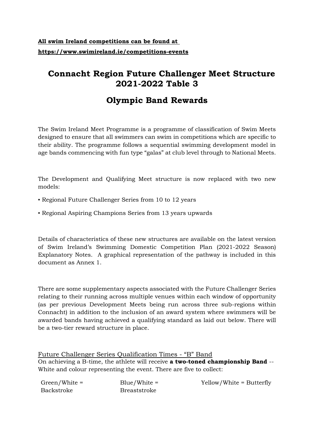# **All swim Ireland competitions can be found at https://www.swimireland.ie/competitions-events**

# **Connacht Region Future Challenger Meet Structure 2021-2022 Table 3**

# **Olympic Band Rewards**

The Swim Ireland Meet Programme is a programme of classification of Swim Meets designed to ensure that all swimmers can swim in competitions which are specific to their ability. The programme follows a sequential swimming development model in age bands commencing with fun type "galas" at club level through to National Meets.

The Development and Qualifying Meet structure is now replaced with two new models:

- Regional Future Challenger Series from 10 to 12 years
- Regional Aspiring Champions Series from 13 years upwards

Details of characteristics of these new structures are available on the latest version of Swim Ireland's Swimming Domestic Competition Plan (2021-2022 Season) Explanatory Notes. A graphical representation of the pathway is included in this document as Annex 1.

There are some supplementary aspects associated with the Future Challenger Series relating to their running across multiple venues within each window of opportunity (as per previous Development Meets being run across three sub-regions within Connacht) in addition to the inclusion of an award system where swimmers will be awarded bands having achieved a qualifying standard as laid out below. There will be a two-tier reward structure in place.

Future Challenger Series Qualification Times - "B" Band On achieving a B-time, the athlete will receive **a two-toned championship Band** -- White and colour representing the event. There are five to collect:

| $Green/White =$ | $Blue/White =$      | Yellow/White = Butterfly |
|-----------------|---------------------|--------------------------|
| Backstroke      | <b>Breaststroke</b> |                          |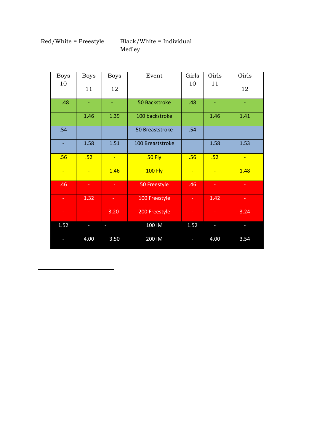## Red/White = Freestyle Black/White = Individual Medley

| <b>Boys</b>    | <b>Boys</b>    | <b>Boys</b> | Event            | Girls          | Girls    | Girls          |
|----------------|----------------|-------------|------------------|----------------|----------|----------------|
| 10             | 11             | 12          |                  | 10             | 11       | 12             |
| .48            |                | ٠.          | 50 Backstroke    | .48            |          |                |
|                | 1.46           | 1.39        | 100 backstroke   |                | 1.46     | 1.41           |
| .54            |                |             | 50 Breaststroke  | .54            |          |                |
| ä,             | 1.58           | 1.51        | 100 Breaststroke |                | 1.58     | 1.53           |
| .56            | .52            | $\equiv$    | 50 Fly           | .56            | .52      | $\blacksquare$ |
| $\blacksquare$ | $\blacksquare$ | 1.46        | <b>100 Fly</b>   | $\blacksquare$ | $\equiv$ | 1.48           |
| .46            | ٠              | ÷           | 50 Freestyle     | .46            | ٠        | ٠              |
| ۰              | 1.32           | ٠           | 100 Freestyle    |                | 1.42     | ٠              |
| ۰              |                | 3.20        | 200 Freestyle    | ٠              | ٠        | 3.24           |
| 1.52           |                |             | 100 IM           | 1.52           |          |                |
|                | 4.00           | 3.50        | 200 IM           |                | 4.00     | 3.54           |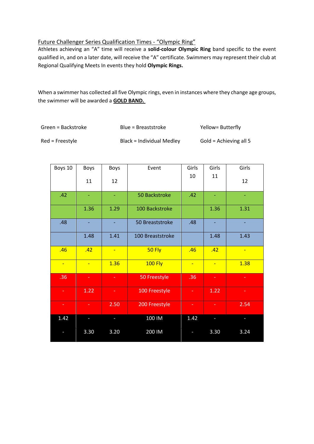#### Future Challenger Series Qualification Times - "Olympic Ring"

Athletes achieving an "A" time will receive a **solid-colour Olympic Ring** band specific to the event qualified in, and on a later date, will receive the "A" certificate. Swimmers may represent their club at Regional Qualifying Meets In events they hold **Olympic Rings.** 

When a swimmer has collected all five Olympic rings, even in instances where they change age groups, the swimmer will be awarded a **GOLD BAND.** 

| Green = Backstroke | Blue = Breaststroke       | Yellow= Butterfly      |
|--------------------|---------------------------|------------------------|
| $Red$ = Freestyle  | Black = Individual Medley | Gold = Achieving all 5 |

| Boys 10        | Boys | <b>Boys</b>    | Event            | Girls | Girls | Girls          |
|----------------|------|----------------|------------------|-------|-------|----------------|
|                | 11   | 12             |                  | 10    | 11    | 12             |
| .42            |      | Ξ              | 50 Backstroke    | .42   | ٠     |                |
|                | 1.36 | 1.29           | 100 Backstroke   |       | 1.36  | 1.31           |
| .48            |      | ٠              | 50 Breaststroke  | .48   |       |                |
|                | 1.48 | 1.41           | 100 Breaststroke |       | 1.48  | 1.43           |
| .46            | .42  | $\blacksquare$ | <b>50 Fly</b>    | .46   | .42   | $\blacksquare$ |
| $\blacksquare$ | u,   | 1.36           | <b>100 Fly</b>   | ÷     | ÷     | 1.38           |
| .36            | ÷.   | $\sim$         | 50 Freestyle     | .36   | ÷     | ÷              |
| ÷.             | 1.22 | ÷              | 100 Freestyle    | ÷.    | 1.22  | ÷              |
| ٠              |      | 2.50           | 200 Freestyle    |       |       | 2.54           |
| 1.42           |      |                | 100 IM           | 1.42  |       |                |
|                | 3.30 | 3.20           | 200 IM           |       | 3.30  | 3.24           |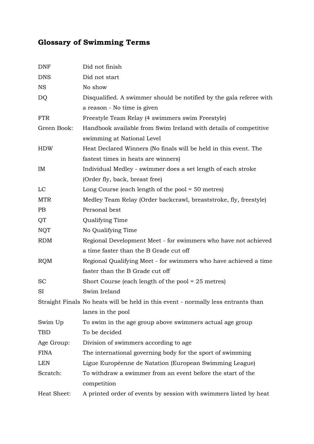# **Glossary of Swimming Terms**

| <b>DNF</b>  | Did not finish                                                                    |
|-------------|-----------------------------------------------------------------------------------|
| <b>DNS</b>  | Did not start                                                                     |
| <b>NS</b>   | No show                                                                           |
| DQ          | Disqualified. A swimmer should be notified by the gala referee with               |
|             | a reason - No time is given                                                       |
| <b>FTR</b>  | Freestyle Team Relay (4 swimmers swim Freestyle)                                  |
| Green Book: | Handbook available from Swim Ireland with details of competitive                  |
|             | swimming at National Level                                                        |
| <b>HDW</b>  | Heat Declared Winners (No finals will be held in this event. The                  |
|             | fastest times in heats are winners)                                               |
| IM          | Individual Medley - swimmer does a set length of each stroke                      |
|             | (Order fly, back, breast free)                                                    |
| LC          | Long Course (each length of the pool $=$ 50 metres)                               |
| <b>MTR</b>  | Medley Team Relay (Order backcrawl, breaststroke, fly, freestyle)                 |
| PB          | Personal best                                                                     |
| QT          | Qualifying Time                                                                   |
| <b>NQT</b>  | No Qualifying Time                                                                |
| <b>RDM</b>  | Regional Development Meet - for swimmers who have not achieved                    |
|             | a time faster than the B Grade cut off                                            |
| <b>RQM</b>  | Regional Qualifying Meet - for swimmers who have achieved a time                  |
|             | faster than the B Grade cut off                                                   |
| <b>SC</b>   | Short Course (each length of the pool $= 25$ metres)                              |
| SI          | Swim Ireland                                                                      |
|             | Straight Finals No heats will be held in this event - normally less entrants than |
|             | lanes in the pool                                                                 |
| Swim Up     | To swim in the age group above swimmers actual age group                          |
| TBD         | To be decided                                                                     |
| Age Group:  | Division of swimmers according to age.                                            |
| <b>FINA</b> | The international governing body for the sport of swimming                        |
| LEN         | Ligue Européenne de Natation (European Swimming League)                           |
| Scratch:    | To withdraw a swimmer from an event before the start of the                       |
|             | competition                                                                       |
| Heat Sheet: | A printed order of events by session with swimmers listed by heat                 |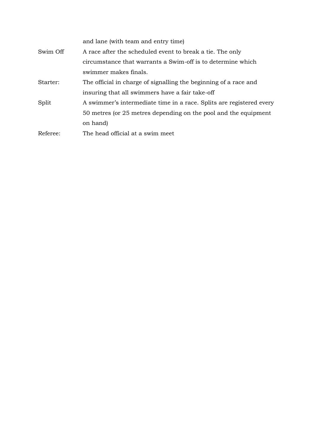|          | and lane (with team and entry time)                                  |
|----------|----------------------------------------------------------------------|
| Swim Off | A race after the scheduled event to break a tie. The only            |
|          | circumstance that warrants a Swim-off is to determine which          |
|          | swimmer makes finals.                                                |
| Starter: | The official in charge of signalling the beginning of a race and     |
|          | insuring that all swimmers have a fair take-off                      |
| Split    | A swimmer's intermediate time in a race. Splits are registered every |
|          | 50 metres (or 25 metres depending on the pool and the equipment      |
|          | on hand)                                                             |
| Referee: | The head official at a swim meet                                     |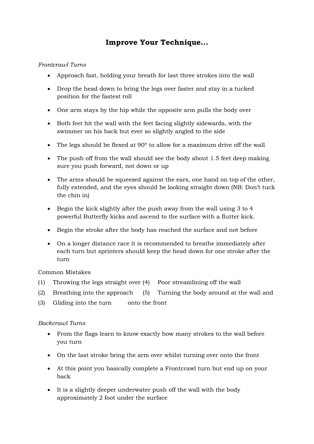# **Improve Your Technique...**

#### *Frontcrawl Turns*

- Approach fast, holding your breath for last three strokes into the wall
- Drop the head down to bring the legs over faster and stay in a tucked position for the fastest roll
- One arm stays by the hip while the opposite arm pulls the body over
- Both feet hit the wall with the feet facing slightly sidewards, with the swimmer on his back but ever so slightly angled to the side
- The legs should be flexed at 90º to allow for a maximum drive off the wall
- The push off from the wall should see the body about 1.5 feet deep making sure you push forward, not down or up
- The arms should be squeezed against the ears, one hand on top of the other, fully extended, and the eyes should be looking straight down (NB: Don't tuck the chin in)
- Begin the kick slightly after the push away from the wall using 3 to 4 powerful Butterfly kicks and ascend to the surface with a flutter kick.
- Begin the stroke after the body has reached the surface and not before
- On a longer distance race it is recommended to breathe immediately after each turn but sprinters should keep the head down for one stroke after the turn

#### Common Mistakes

- (1) Throwing the legs straight over (4) Poor streamlining off the wall
- (2) Breathing into the approach (5) Turning the body around at the wall and
- (3) Gliding into the turn onto the front

#### *Backcrawl Turns*

- From the flags learn to know exactly how many strokes to the wall before you turn
- On the last stroke bring the arm over whilst turning over onto the front
- At this point you basically complete a Frontcrawl turn but end up on your back
- It is a slightly deeper underwater push off the wall with the body approximately 2 foot under the surface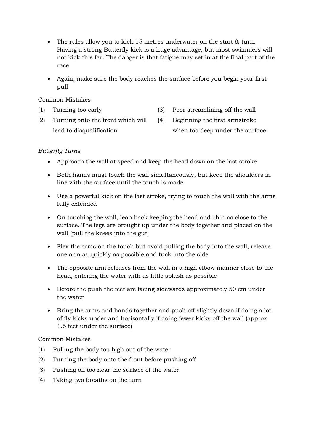- The rules allow you to kick 15 metres underwater on the start & turn. Having a strong Butterfly kick is a huge advantage, but most swimmers will not kick this far. The danger is that fatigue may set in at the final part of the race
- Again, make sure the body reaches the surface before you begin your first pull

#### Common Mistakes

- (1) Turning too early (3) Poor streamlining off the wall
- (2) Turning onto the front which will (4) Beginning the first armstroke
- 
- lead to disqualification when too deep under the surface.

#### *Butterfly Turns*

- Approach the wall at speed and keep the head down on the last stroke
- Both hands must touch the wall simultaneously, but keep the shoulders in line with the surface until the touch is made
- Use a powerful kick on the last stroke, trying to touch the wall with the arms fully extended
- On touching the wall, lean back keeping the head and chin as close to the surface. The legs are brought up under the body together and placed on the wall (pull the knees into the gut)
- Flex the arms on the touch but avoid pulling the body into the wall, release one arm as quickly as possible and tuck into the side
- The opposite arm releases from the wall in a high elbow manner close to the head, entering the water with as little splash as possible
- Before the push the feet are facing sidewards approximately 50 cm under the water
- Bring the arms and hands together and push off slightly down if doing a lot of fly kicks under and horizontally if doing fewer kicks off the wall (approx 1.5 feet under the surface)

#### Common Mistakes

- (1) Pulling the body too high out of the water
- (2) Turning the body onto the front before pushing off
- (3) Pushing off too near the surface of the water
- (4) Taking two breaths on the turn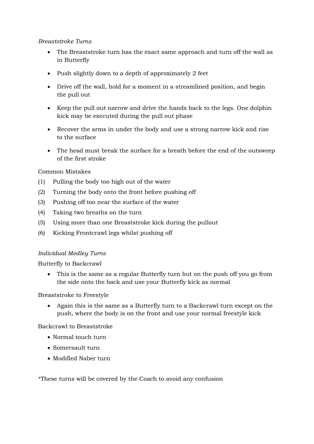#### *Breaststroke Turns*

- The Breaststroke turn has the exact same approach and turn off the wall as in Butterfly
- Push slightly down to a depth of approximately 2 feet
- Drive off the wall, hold for a moment in a streamlined position, and begin the pull out
- Keep the pull out narrow and drive the hands back to the legs. One dolphin kick may be executed during the pull out phase
- Recover the arms in under the body and use a strong narrow kick and rise to the surface
- The head must break the surface for a breath before the end of the outsweep of the first stroke

#### Common Mistakes

- (1) Pulling the body too high out of the water
- (2) Turning the body onto the front before pushing off
- (3) Pushing off too near the surface of the water
- (4) Taking two breaths on the turn
- (5) Using more than one Breaststroke kick during the pullout
- (6) Kicking Frontcrawl legs whilst pushing off

#### *Individual Medley Turns*

Butterfly to Backcrawl

• This is the same as a regular Butterfly turn but on the push off you go from the side onto the back and use your Butterfly kick as normal

Breaststroke to Freestyle

• Again this is the same as a Butterfly turn to a Backcrawl turn except on the push, where the body is on the front and use your normal freestyle kick

Backcrawl to Breaststroke

- Normal touch turn
- Somersault turn
- Modified Naber turn

\*These turns will be covered by the Coach to avoid any confusion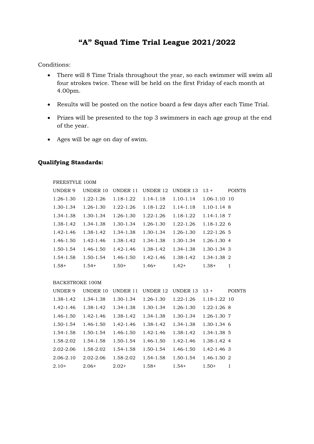# **"A" Squad Time Trial League 2021/2022**

Conditions:

- There will 8 Time Trials throughout the year, so each swimmer will swim all four strokes twice. These will be held on the first Friday of each month at 4.00pm.
- Results will be posted on the notice board a few days after each Time Trial.
- Prizes will be presented to the top 3 swimmers in each age group at the end of the year.
- Ages will be age on day of swim.

#### **Qualifying Standards:**

| FREESTYLE 100M |           |                 |                 |                 |                  |               |
|----------------|-----------|-----------------|-----------------|-----------------|------------------|---------------|
| <b>UNDER 9</b> | UNDER 10  | <b>UNDER 11</b> | <b>UNDER 12</b> | <b>UNDER 13</b> | $13 +$           | <b>POINTS</b> |
| 1.26-1.30      | 1.22-1.26 | 1.18-1.22       | 1.14-1.18       | $1.10 - 1.14$   | $1.06 - 1.10$ 10 |               |
| 1.30-1.34      | 1.26-1.30 | 1.22-1.26       | 1.18-1.22       | 1.14-1.18       | $1.10 - 1.14$ 8  |               |
| 1.34-1.38      | 1.30-1.34 | $1.26 - 1.30$   | 1.22-1.26       | 1.18-1.22       | 1.14-1.18 7      |               |
| 1.38-1.42      | 1.34-1.38 | 1.30-1.34       | 1.26-1.30       | 1.22-1.26       | $1.18 - 1.22$ 6  |               |
| 1.42-1.46      | 1.38-1.42 | 1.34-1.38       | 1.30-1.34       | 1.26-1.30       | $1.22 - 1.26$ 5  |               |
| 1.46-1.50      | 1.42-1.46 | 1.38-1.42       | 1.34-1.38       | 1.30-1.34       | $1.26 - 1.30$ 4  |               |
| 1.50-1.54      | 1.46-1.50 | 1.42-1.46       | 1.38-1.42       | 1.34-1.38       | $1.30 - 1.34$ 3  |               |
| 1.54-1.58      | 1.50-1.54 | 1.46-1.50       | 1.42-1.46       | 1.38-1.42       | 1.34-1.38 2      |               |
| $1.58+$        | $1.54+$   | $1.50+$         | $1.46+$         | $1.42+$         | $1.38+$          | 1             |

#### BACKSTROKE 100M

| <b>UNDER 9</b> | UNDER 10      | <b>UNDER 11</b> | <b>UNDER 12</b> | <b>UNDER 13</b> | $13+$            | <b>POINTS</b> |
|----------------|---------------|-----------------|-----------------|-----------------|------------------|---------------|
| 1.38-1.42      | 1.34-1.38     | 1.30-1.34       | 1.26-1.30       | $1.22 - 1.26$   | $1.18 - 1.22$ 10 |               |
| 1.42-1.46      | 1.38-1.42     | 1.34-1.38       | 1.30-1.34       | 1.26-1.30       | $1.22 - 1.26$ 8  |               |
| 1.46-1.50      | 1.42-1.46     | 1.38-1.42       | 1.34-1.38       | 1.30-1.34       | 1.26-1.30 7      |               |
| 1.50-1.54      | 1.46-1.50     | 1.42-1.46       | 1.38-1.42       | 1.34-1.38       | $1.30 - 1.34$ 6  |               |
| 1.54-1.58      | 1.50-1.54     | $1.46 - 1.50$   | $1.42 - 1.46$   | 1.38-1.42       | 1.34-1.38 5      |               |
| 1.58-2.02      | 1.54-1.58     | 1.50-1.54       | 1.46-1.50       | $1.42 - 1.46$   | 1.38-1.42 4      |               |
| 2.02-2.06      | 1.58-2.02     | 1.54-1.58       | 1.50-1.54       | 1.46-1.50       | $1.42 - 1.46$ 3  |               |
| 2.06-2.10      | $2.02 - 2.06$ | 1.58-2.02       | 1.54-1.58       | 1.50-1.54       | $1.46 - 1.50$ 2  |               |
| $2.10+$        | $2.06+$       | $2.02+$         | $1.58+$         | $1.54+$         | $1.50+$          | 1             |